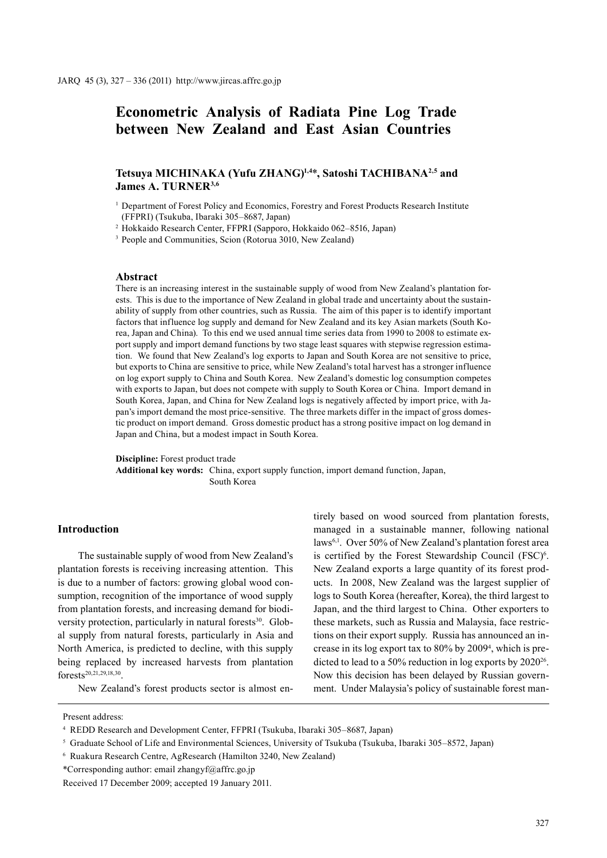# **Econometric Analysis of Radiata Pine Log Trade between New Zealand and East Asian Countries**

# **Tetsuya MICHINAKA (Yufu ZHANG)1,4**\***, Satoshi TACHIBANA2,5 and James A. TURNER3,6**

<sup>1</sup> Department of Forest Policy and Economics, Forestry and Forest Products Research Institute (FFPRI) (Tsukuba, Ibaraki 305–8687, Japan)

<sup>2</sup> Hokkaido Research Center, FFPRI (Sapporo, Hokkaido 062–8516, Japan)

<sup>3</sup> People and Communities, Scion (Rotorua 3010, New Zealand)

### **Abstract**

There is an increasing interest in the sustainable supply of wood from New Zealand's plantation forests. This is due to the importance of New Zealand in global trade and uncertainty about the sustainability of supply from other countries, such as Russia. The aim of this paper is to identify important factors that influence log supply and demand for New Zealand and its key Asian markets (South Korea, Japan and China). To this end we used annual time series data from 1990 to 2008 to estimate export supply and import demand functions by two stage least squares with stepwise regression estimation. We found that New Zealand's log exports to Japan and South Korea are not sensitive to price, but exports to China are sensitive to price, while New Zealand's total harvest has a stronger influence on log export supply to China and South Korea. New Zealand's domestic log consumption competes with exports to Japan, but does not compete with supply to South Korea or China. Import demand in South Korea, Japan, and China for New Zealand logs is negatively affected by import price, with Japan's import demand the most price-sensitive. The three markets differ in the impact of gross domestic product on import demand. Gross domestic product has a strong positive impact on log demand in Japan and China, but a modest impact in South Korea.

**Discipline:** Forest product trade **Additional key words:** China, export supply function, import demand function, Japan, South Korea

### **Introduction**

The sustainable supply of wood from New Zealand's plantation forests is receiving increasing attention. This is due to a number of factors: growing global wood consumption, recognition of the importance of wood supply from plantation forests, and increasing demand for biodiversity protection, particularly in natural forests<sup>30</sup>. Global supply from natural forests, particularly in Asia and North America, is predicted to decline, with this supply being replaced by increased harvests from plantation forests20,21,29,18,30.

New Zealand's forest products sector is almost en-

tirely based on wood sourced from plantation forests, managed in a sustainable manner, following national laws6,1. Over 50% of New Zealand's plantation forest area is certified by the Forest Stewardship Council (FSC)<sup>6</sup>. New Zealand exports a large quantity of its forest products. In 2008, New Zealand was the largest supplier of logs to South Korea (hereafter, Korea), the third largest to Japan, and the third largest to China. Other exporters to these markets, such as Russia and Malaysia, face restrictions on their export supply. Russia has announced an increase in its log export tax to 80% by 20094 , which is predicted to lead to a 50% reduction in log exports by 2020<sup>26</sup>. Now this decision has been delayed by Russian government. Under Malaysia's policy of sustainable forest man-

Present address:

<sup>4</sup> REDD Research and Development Center, FFPRI (Tsukuba, Ibaraki 305–8687, Japan)

<sup>5</sup> Graduate School of Life and Environmental Sciences, University of Tsukuba (Tsukuba, Ibaraki 305–8572, Japan)

<sup>6</sup> Ruakura Research Centre, AgResearch (Hamilton 3240, New Zealand)

<sup>\*</sup>Corresponding author: email zhangyf@affrc.go.jp

Received 17 December 2009; accepted 19 January 2011.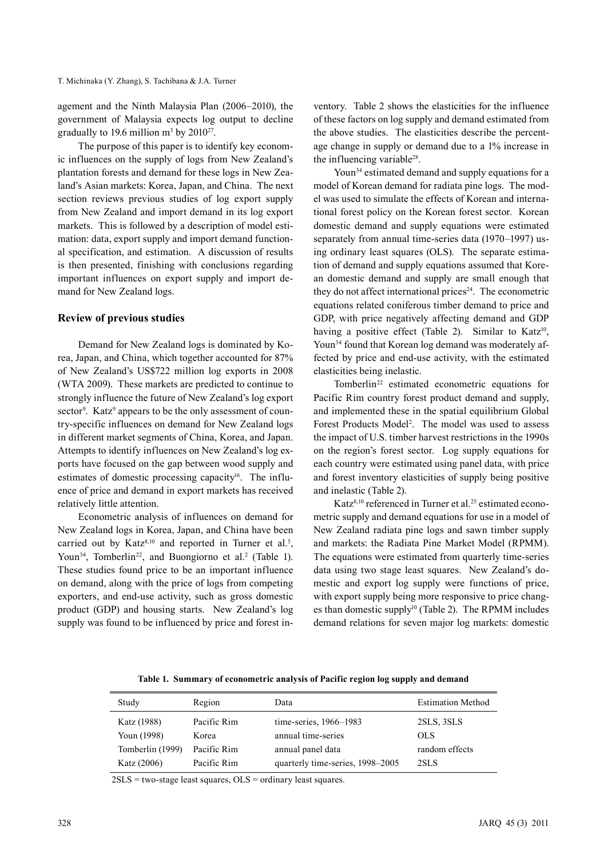agement and the Ninth Malaysia Plan (2006–2010), the government of Malaysia expects log output to decline gradually to 19.6 million  $m^3$  by 2010<sup>27</sup>.

The purpose of this paper is to identify key economic influences on the supply of logs from New Zealand's plantation forests and demand for these logs in New Zealand's Asian markets: Korea, Japan, and China. The next section reviews previous studies of log export supply from New Zealand and import demand in its log export markets. This is followed by a description of model estimation: data, export supply and import demand functional specification, and estimation. A discussion of results is then presented, finishing with conclusions regarding important influences on export supply and import demand for New Zealand logs.

### **Review of previous studies**

Demand for New Zealand logs is dominated by Korea, Japan, and China, which together accounted for 87% of New Zealand's US\$722 million log exports in 2008 (WTA 2009). These markets are predicted to continue to strongly influence the future of New Zealand's log export sector<sup>9</sup>. Katz<sup>9</sup> appears to be the only assessment of country-specific influences on demand for New Zealand logs in different market segments of China, Korea, and Japan. Attempts to identify influences on New Zealand's log exports have focused on the gap between wood supply and estimates of domestic processing capacity<sup>16</sup>. The influence of price and demand in export markets has received relatively little attention.

Econometric analysis of influences on demand for New Zealand logs in Korea, Japan, and China have been carried out by Katz $8,10$  and reported in Turner et al.<sup>5</sup>, Youn<sup>34</sup>, Tomberlin<sup>22</sup>, and Buongiorno et al.<sup>2</sup> (Table 1). These studies found price to be an important influence on demand, along with the price of logs from competing exporters, and end-use activity, such as gross domestic product (GDP) and housing starts. New Zealand's log supply was found to be influenced by price and forest inventory. Table 2 shows the elasticities for the influence of these factors on log supply and demand estimated from the above studies. The elasticities describe the percentage change in supply or demand due to a 1% increase in the influencing variable<sup>28</sup>.

Youn<sup>34</sup> estimated demand and supply equations for a model of Korean demand for radiata pine logs. The model was used to simulate the effects of Korean and international forest policy on the Korean forest sector. Korean domestic demand and supply equations were estimated separately from annual time-series data (1970–1997) using ordinary least squares (OLS). The separate estimation of demand and supply equations assumed that Korean domestic demand and supply are small enough that they do not affect international prices<sup>24</sup>. The econometric equations related coniferous timber demand to price and GDP, with price negatively affecting demand and GDP having a positive effect (Table 2). Similar to Katz<sup>10</sup>, Youn<sup>34</sup> found that Korean log demand was moderately affected by price and end-use activity, with the estimated elasticities being inelastic.

Tomberlin<sup>22</sup> estimated econometric equations for Pacific Rim country forest product demand and supply, and implemented these in the spatial equilibrium Global Forest Products Model<sup>2</sup>. The model was used to assess the impact of U.S. timber harvest restrictions in the 1990s on the region's forest sector. Log supply equations for each country were estimated using panel data, with price and forest inventory elasticities of supply being positive and inelastic (Table 2).

Katz<sup>8,10</sup> referenced in Turner et al.<sup>25</sup> estimated econometric supply and demand equations for use in a model of New Zealand radiata pine logs and sawn timber supply and markets: the Radiata Pine Market Model (RPMM). The equations were estimated from quarterly time-series data using two stage least squares. New Zealand's domestic and export log supply were functions of price, with export supply being more responsive to price changes than domestic supply<sup>10</sup> (Table 2). The RPMM includes demand relations for seven major log markets: domestic

**Table 1. Summary of econometric analysis of Pacific region log supply and demand**

| Study            | Region      | Data                             | <b>Estimation Method</b> |
|------------------|-------------|----------------------------------|--------------------------|
| Katz (1988)      | Pacific Rim | time-series, 1966-1983           | 2SLS, 3SLS               |
| Youn (1998)      | Korea       | annual time-series               | OLS.                     |
| Tomberlin (1999) | Pacific Rim | annual panel data                | random effects           |
| Katz (2006)      | Pacific Rim | quarterly time-series, 1998-2005 | 2SLS                     |

 $2SLS = two-stage least squares,  $OLS = \text{ordinary least squares.}$$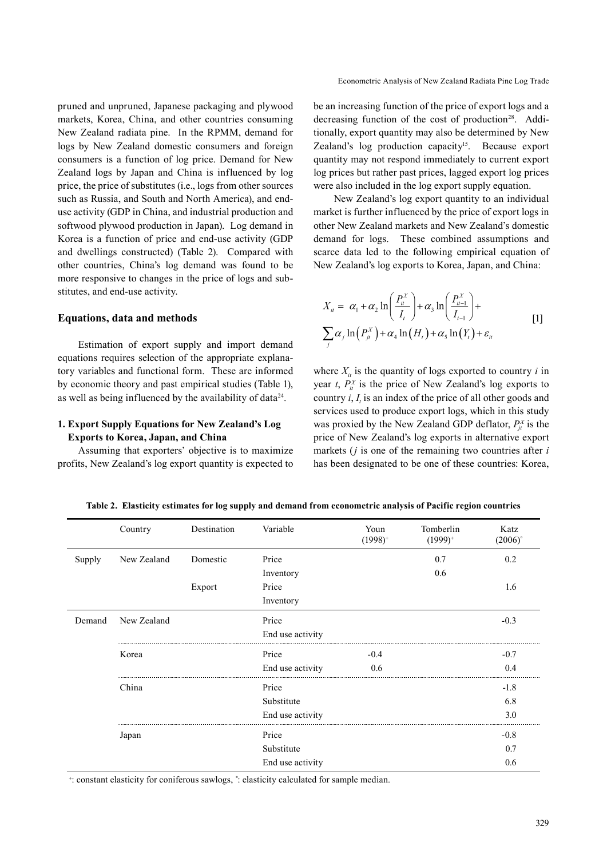pruned and unpruned, Japanese packaging and plywood markets, Korea, China, and other countries consuming New Zealand radiata pine. In the RPMM, demand for logs by New Zealand domestic consumers and foreign consumers is a function of log price. Demand for New Zealand logs by Japan and China is influenced by log price, the price of substitutes (i.e., logs from other sources such as Russia, and South and North America), and enduse activity (GDP in China, and industrial production and softwood plywood production in Japan). Log demand in Korea is a function of price and end-use activity (GDP and dwellings constructed) (Table 2). Compared with other countries, China's log demand was found to be more responsive to changes in the price of logs and substitutes, and end-use activity.

### **Equations, data and methods**

Estimation of export supply and import demand equations requires selection of the appropriate explanatory variables and functional form. These are informed by economic theory and past empirical studies (Table 1), as well as being influenced by the availability of  $data^{24}$ .

### **1. Export Supply Equations for New Zealand's Log Exports to Korea, Japan, and China**

Assuming that exporters' objective is to maximize profits, New Zealand's log export quantity is expected to be an increasing function of the price of export logs and a decreasing function of the cost of production<sup>28</sup>. Additionally, export quantity may also be determined by New Zealand's log production capacity<sup>15</sup>. Because export quantity may not respond immediately to current export log prices but rather past prices, lagged export log prices were also included in the log export supply equation.

New Zealand's log export quantity to an individual market is further influenced by the price of export logs in other New Zealand markets and New Zealand's domestic demand for logs. These combined assumptions and scarce data led to the following empirical equation of New Zealand's log exports to Korea, Japan, and China:

$$
X_{ii} = \alpha_1 + \alpha_2 \ln\left(\frac{P_i^X}{I_i}\right) + \alpha_3 \ln\left(\frac{P_{i-1}^X}{I_{i-1}}\right) +
$$
  

$$
\sum_j \alpha_j \ln\left(P_{ji}^X\right) + \alpha_4 \ln\left(H_i\right) + \alpha_5 \ln\left(Y_i\right) + \varepsilon_{ii}
$$
 [1]

where  $X_{it}$  is the quantity of logs exported to country *i* in year *t*,  $P_{it}^{X}$  is the price of New Zealand's log exports to country  $i$ ,  $I_t$  is an index of the price of all other goods and services used to produce export logs, which in this study was proxied by the New Zealand GDP deflator,  $P_{jt}^X$  is the price of New Zealand's log exports in alternative export markets (*j* is one of the remaining two countries after *i* has been designated to be one of these countries: Korea,

|        | Country     | Destination | Variable         | Youn<br>$(1998)^{+}$ | Tomberlin<br>$(1999)^+$ | Katz<br>$(2006)^\circ$ |
|--------|-------------|-------------|------------------|----------------------|-------------------------|------------------------|
| Supply | New Zealand | Domestic    | Price            |                      | 0.7                     | 0.2                    |
|        |             |             | Inventory        |                      | 0.6                     |                        |
|        |             | Export      | Price            |                      |                         | 1.6                    |
|        |             |             | Inventory        |                      |                         |                        |
| Demand | New Zealand |             | Price            |                      |                         | $-0.3$                 |
|        |             |             | End use activity |                      |                         |                        |
|        | Korea       |             | Price            | $-0.4$               |                         | $-0.7$                 |
|        |             |             | End use activity | 0.6                  |                         | 0.4                    |
|        | China       |             | Price            |                      |                         | $-1.8$                 |
|        |             |             | Substitute       |                      |                         | 6.8                    |
|        |             |             | End use activity |                      |                         | 3.0                    |
|        | Japan       |             | Price            |                      |                         | $-0.8$                 |
|        |             |             | Substitute       |                      |                         | 0.7                    |
|        |             |             | End use activity |                      |                         | 0.6                    |

**Table 2. Elasticity estimates for log supply and demand from econometric analysis of Pacific region countries**

+ : constant elasticity for coniferous sawlogs, ˚: elasticity calculated for sample median.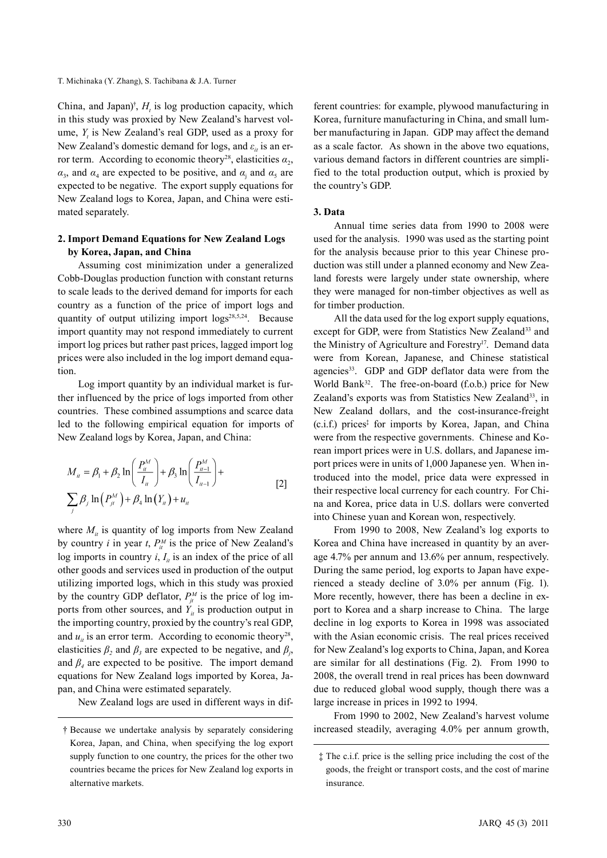China, and Japan)<sup>†</sup>,  $H_t$  is log production capacity, which in this study was proxied by New Zealand's harvest volume,  $Y_t$  is New Zealand's real GDP, used as a proxy for New Zealand's domestic demand for logs, and  $\varepsilon_i$  is an error term. According to economic theory<sup>28</sup>, elasticities  $a_2$ ,  $\alpha_3$ , and  $\alpha_4$  are expected to be positive, and  $\alpha_j$  and  $\alpha_5$  are expected to be negative. The export supply equations for New Zealand logs to Korea, Japan, and China were estimated separately.

## **2. Import Demand Equations for New Zealand Logs by Korea, Japan, and China**

Assuming cost minimization under a generalized Cobb-Douglas production function with constant returns to scale leads to the derived demand for imports for each country as a function of the price of import logs and quantity of output utilizing import logs<sup>28,5,24</sup>. Because import quantity may not respond immediately to current import log prices but rather past prices, lagged import log prices were also included in the log import demand equation.

Log import quantity by an individual market is further influenced by the price of logs imported from other countries. These combined assumptions and scarce data led to the following empirical equation for imports of New Zealand logs by Korea, Japan, and China:

$$
M_{u} = \beta_{1} + \beta_{2} \ln \left( \frac{P_{u}^{M}}{I_{u}} \right) + \beta_{3} \ln \left( \frac{P_{u-1}^{M}}{I_{u-1}} \right) +
$$
  

$$
\sum_{i} \beta_{j} \ln \left( P_{u}^{M} \right) + \beta_{4} \ln \left( Y_{u} \right) + u_{u}
$$
 [2]

where  $M_{ii}$  is quantity of log imports from New Zealand by country *i* in year *t*,  $P_{it}^{M}$  is the price of New Zealand's log imports in country  $i, I_{ii}$  is an index of the price of all other goods and services used in production of the output utilizing imported logs, which in this study was proxied by the country GDP deflator,  $P_{it}^{M}$  is the price of log imports from other sources, and  $Y_{it}$  is production output in the importing country, proxied by the country's real GDP, and  $u_{ij}$  is an error term. According to economic theory<sup>28</sup>, elasticities  $\beta_2$  and  $\beta_3$  are expected to be negative, and  $\beta_j$ , and  $\beta$ <sub>4</sub> are expected to be positive. The import demand equations for New Zealand logs imported by Korea, Japan, and China were estimated separately.

New Zealand logs are used in different ways in dif-

ferent countries: for example, plywood manufacturing in Korea, furniture manufacturing in China, and small lumber manufacturing in Japan. GDP may affect the demand as a scale factor. As shown in the above two equations, various demand factors in different countries are simplified to the total production output, which is proxied by the country's GDP.

### **3. Data**

Annual time series data from 1990 to 2008 were used for the analysis. 1990 was used as the starting point for the analysis because prior to this year Chinese production was still under a planned economy and New Zealand forests were largely under state ownership, where they were managed for non-timber objectives as well as for timber production.

All the data used for the log export supply equations, except for GDP, were from Statistics New Zealand<sup>33</sup> and the Ministry of Agriculture and Forestry<sup>17</sup>. Demand data were from Korean, Japanese, and Chinese statistical agencies<sup>33</sup>. GDP and GDP deflator data were from the World Bank<sup>32</sup>. The free-on-board (f.o.b.) price for New Zealand's exports was from Statistics New Zealand<sup>33</sup>, in New Zealand dollars, and the cost-insurance-freight (c.i.f.) prices‡ for imports by Korea, Japan, and China were from the respective governments. Chinese and Korean import prices were in U.S. dollars, and Japanese import prices were in units of 1,000 Japanese yen. When introduced into the model, price data were expressed in their respective local currency for each country. For China and Korea, price data in U.S. dollars were converted into Chinese yuan and Korean won, respectively.

From 1990 to 2008, New Zealand's log exports to Korea and China have increased in quantity by an average 4.7% per annum and 13.6% per annum, respectively. During the same period, log exports to Japan have experienced a steady decline of 3.0% per annum (Fig. 1). More recently, however, there has been a decline in export to Korea and a sharp increase to China. The large decline in log exports to Korea in 1998 was associated with the Asian economic crisis. The real prices received for New Zealand's log exports to China, Japan, and Korea are similar for all destinations (Fig. 2). From 1990 to 2008, the overall trend in real prices has been downward due to reduced global wood supply, though there was a large increase in prices in 1992 to 1994.

From 1990 to 2002, New Zealand's harvest volume increased steadily, averaging 4.0% per annum growth,

<sup>†</sup> Because we undertake analysis by separately considering Korea, Japan, and China, when specifying the log export supply function to one country, the prices for the other two countries became the prices for New Zealand log exports in alternative markets.

<sup>‡</sup> The c.i.f. price is the selling price including the cost of the goods, the freight or transport costs, and the cost of marine insurance.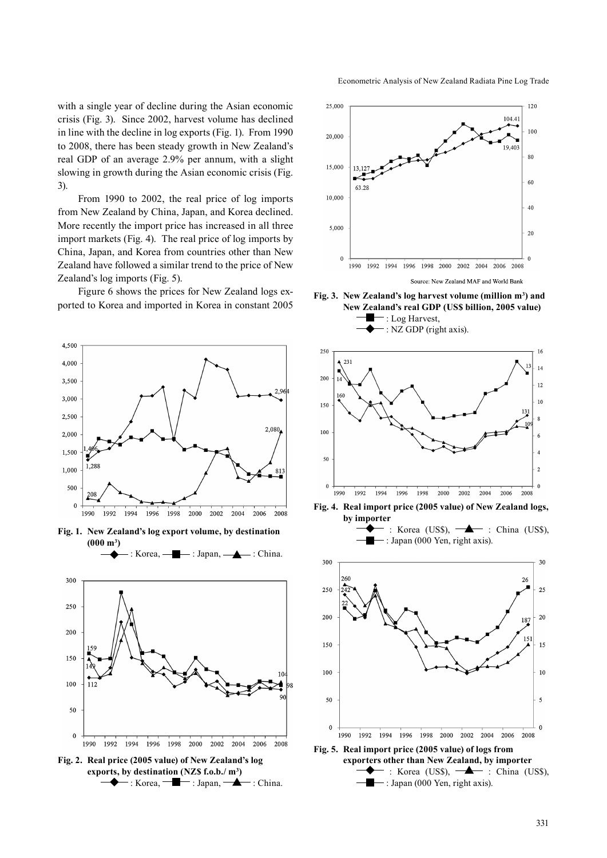with a single year of decline during the Asian economic crisis (Fig. 3). Since 2002, harvest volume has declined in line with the decline in log exports (Fig. 1). From 1990 to 2008, there has been steady growth in New Zealand's real GDP of an average 2.9% per annum, with a slight slowing in growth during the Asian economic crisis (Fig. 3).

From 1990 to 2002, the real price of log imports from New Zealand by China, Japan, and Korea declined. More recently the import price has increased in all three import markets (Fig. 4). The real price of log imports by China, Japan, and Korea from countries other than New Zealand have followed a similar trend to the price of New Zealand's log imports (Fig. 5).

Figure 6 shows the prices for New Zealand logs exported to Korea and imported in Korea in constant 2005



**Fig. 1. New Zealand's log export volume, by destination (000 m3 )**

: Korea,  $\longrightarrow$ : Japan,  $\longrightarrow$ : China.



**Fig. 2. Real price (2005 value) of New Zealand's log exports, by destination (NZ\$ f.o.b./ m3 )**  $\blacklozenge$ : Korea,  $\blacksquare$ : Japan,  $\blacktriangle$ : China.

Econometric Analysis of New Zealand Radiata Pine Log Trade



Fig. 3. New Zealand's log harvest volume (million m<sup>3</sup>) and **New Zealand's real GDP (US\$ billion, 2005 value)** : Log Harvest,





**Fig. 4. Real import price (2005 value) of New Zealand logs,** 



: Japan (000 Yen, right axis).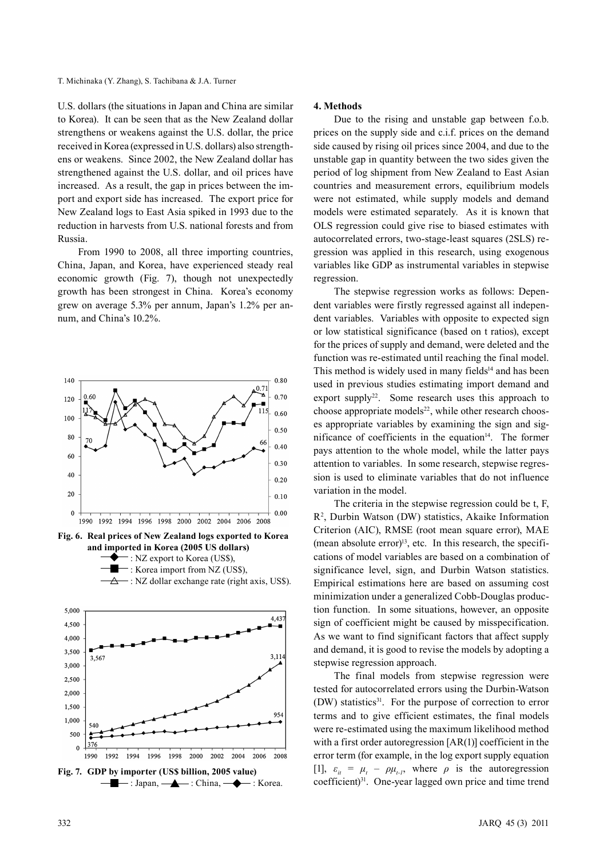#### T. Michinaka (Y. Zhang), S. Tachibana & J.A. Turner

U.S. dollars (the situations in Japan and China are similar to Korea). It can be seen that as the New Zealand dollar strengthens or weakens against the U.S. dollar, the price received in Korea (expressed in U.S. dollars) also strengthens or weakens. Since 2002, the New Zealand dollar has strengthened against the U.S. dollar, and oil prices have increased. As a result, the gap in prices between the import and export side has increased. The export price for New Zealand logs to East Asia spiked in 1993 due to the reduction in harvests from U.S. national forests and from Russia.

From 1990 to 2008, all three importing countries, China, Japan, and Korea, have experienced steady real economic growth (Fig. 7), though not unexpectedly growth has been strongest in China. Korea's economy grew on average 5.3% per annum, Japan's 1.2% per annum, and China's 10.2%.



**Fig. 7. GDP by importer (US\$ billion, 2005 value)**  $-$ : Japan,  $\longrightarrow$ : China,  $\longrightarrow$ : Korea.

# **4. Methods**

Due to the rising and unstable gap between f.o.b. prices on the supply side and c.i.f. prices on the demand side caused by rising oil prices since 2004, and due to the unstable gap in quantity between the two sides given the period of log shipment from New Zealand to East Asian countries and measurement errors, equilibrium models were not estimated, while supply models and demand models were estimated separately. As it is known that OLS regression could give rise to biased estimates with autocorrelated errors, two-stage-least squares (2SLS) regression was applied in this research, using exogenous variables like GDP as instrumental variables in stepwise regression.

The stepwise regression works as follows: Dependent variables were firstly regressed against all independent variables. Variables with opposite to expected sign or low statistical significance (based on t ratios), except for the prices of supply and demand, were deleted and the function was re-estimated until reaching the final model. This method is widely used in many fields<sup>14</sup> and has been used in previous studies estimating import demand and export supply<sup>22</sup>. Some research uses this approach to choose appropriate models $^{22}$ , while other research chooses appropriate variables by examining the sign and significance of coefficients in the equation $14$ . The former pays attention to the whole model, while the latter pays attention to variables. In some research, stepwise regression is used to eliminate variables that do not influence variation in the model.

The criteria in the stepwise regression could be t, F, R2 , Durbin Watson (DW) statistics, Akaike Information Criterion (AIC), RMSE (root mean square error), MAE (mean absolute error) $^{13}$ , etc. In this research, the specifications of model variables are based on a combination of significance level, sign, and Durbin Watson statistics. Empirical estimations here are based on assuming cost minimization under a generalized Cobb-Douglas production function. In some situations, however, an opposite sign of coefficient might be caused by misspecification. As we want to find significant factors that affect supply and demand, it is good to revise the models by adopting a stepwise regression approach.

The final models from stepwise regression were tested for autocorrelated errors using the Durbin-Watson (DW) statistics<sup>31</sup>. For the purpose of correction to error terms and to give efficient estimates, the final models were re-estimated using the maximum likelihood method with a first order autoregression [AR(1)] coefficient in the error term (for example, in the log export supply equation [1],  $\varepsilon_{it} = \mu_t - \rho \mu_{t-1}$ , where  $\rho$  is the autoregression coefficient)<sup>31</sup>. One-year lagged own price and time trend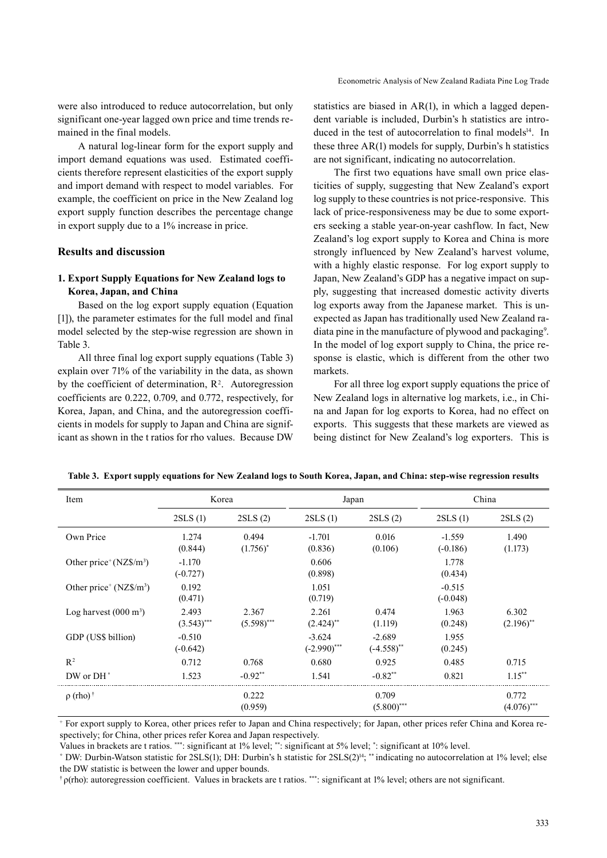were also introduced to reduce autocorrelation, but only significant one-year lagged own price and time trends remained in the final models.

A natural log-linear form for the export supply and import demand equations was used. Estimated coefficients therefore represent elasticities of the export supply and import demand with respect to model variables. For example, the coefficient on price in the New Zealand log export supply function describes the percentage change in export supply due to a 1% increase in price.

### **Results and discussion**

### **1. Export Supply Equations for New Zealand logs to Korea, Japan, and China**

Based on the log export supply equation (Equation [1]), the parameter estimates for the full model and final model selected by the step-wise regression are shown in Table 3.

All three final log export supply equations (Table 3) explain over 71% of the variability in the data, as shown by the coefficient of determination,  $\mathbb{R}^2$ . Autoregression coefficients are 0.222, 0.709, and 0.772, respectively, for Korea, Japan, and China, and the autoregression coefficients in models for supply to Japan and China are significant as shown in the t ratios for rho values. Because DW

statistics are biased in AR(1), in which a lagged dependent variable is included, Durbin's h statistics are introduced in the test of autocorrelation to final models<sup>14</sup>. In these three AR(1) models for supply, Durbin's h statistics are not significant, indicating no autocorrelation.

The first two equations have small own price elasticities of supply, suggesting that New Zealand's export log supply to these countries is not price-responsive. This lack of price-responsiveness may be due to some exporters seeking a stable year-on-year cashflow. In fact, New Zealand's log export supply to Korea and China is more strongly influenced by New Zealand's harvest volume, with a highly elastic response. For log export supply to Japan, New Zealand's GDP has a negative impact on supply, suggesting that increased domestic activity diverts log exports away from the Japanese market. This is unexpected as Japan has traditionally used New Zealand radiata pine in the manufacture of plywood and packaging<sup>9</sup>. In the model of log export supply to China, the price response is elastic, which is different from the other two markets.

For all three log export supply equations the price of New Zealand logs in alternative log markets, i.e., in China and Japan for log exports to Korea, had no effect on exports. This suggests that these markets are viewed as being distinct for New Zealand's log exporters. This is

| Item                            | Korea                  |                        | Japan                            |                           | China                  |                                  |
|---------------------------------|------------------------|------------------------|----------------------------------|---------------------------|------------------------|----------------------------------|
|                                 | 2SLS(1)                | 2SLS(2)                | 2SLS(1)                          | 2SLS(2)                   | 2SLS(1)                | 2SLS(2)                          |
| Own Price                       | 1.274<br>(0.844)       | 0.494<br>$(1.756)^*$   | $-1.701$<br>(0.836)              | 0.016<br>(0.106)          | $-1.559$<br>$(-0.186)$ | 1.490<br>(1.173)                 |
| Other price $(NZ\$/m^3)$        | $-1.170$<br>$(-0.727)$ |                        | 0.606<br>(0.898)                 |                           | 1.778<br>(0.434)       |                                  |
| Other price $(NZ\$ {m}^3)       | 0.192<br>(0.471)       |                        | 1.051<br>(0.719)                 |                           | $-0.515$<br>$(-0.048)$ |                                  |
| Log harvest $(000 \text{ m}^3)$ | 2.493<br>$(3.543)$ *** | 2.367<br>$(5.598)$ *** | 2.261<br>$(2.424)$ <sup>**</sup> | 0.474<br>(1.119)          | 1.963<br>(0.248)       | 6.302<br>$(2.196)$ <sup>**</sup> |
| GDP (US\$ billion)              | $-0.510$<br>$(-0.642)$ |                        | $-3.624$<br>$(-2.990)$ ***       | $-2.689$<br>$(-4.558)$ ** | 1.955<br>(0.245)       |                                  |
| $R^2$                           | 0.712                  | 0.768                  | 0.680                            | 0.925                     | 0.485                  | 0.715                            |
| DW or $DH^{\circ}$              | 1.523                  | $-0.92**$              | 1.541                            | $-0.82**$                 | 0.821                  | $1.15***$                        |
| $\rho$ (rho) <sup>†</sup>       |                        | 0.222<br>(0.959)       |                                  | 0.709<br>$(5.800)$ ***    |                        | 0.772<br>$(4.076)$ ***           |

|  |  |  | Table 3. Export supply equations for New Zealand logs to South Korea, Japan, and China: step-wise regression results |  |  |  |
|--|--|--|----------------------------------------------------------------------------------------------------------------------|--|--|--|
|  |  |  |                                                                                                                      |  |  |  |

+ For export supply to Korea, other prices refer to Japan and China respectively; for Japan, other prices refer China and Korea respectively; for China, other prices refer Korea and Japan respectively.

Values in brackets are t ratios. \*\*\*: significant at 1% level; \*\*: significant at 5% level; \* : significant at 10% level.

˚ DW: Durbin-Watson statistic for 2SLS(1); DH: Durbin's h statistic for 2SLS(2)14; \*\* indicating no autocorrelation at 1% level; else the DW statistic is between the lower and upper bounds.

† ρ(rho): autoregression coefficient. Values in brackets are t ratios. \*\*\*: significant at 1% level; others are not significant.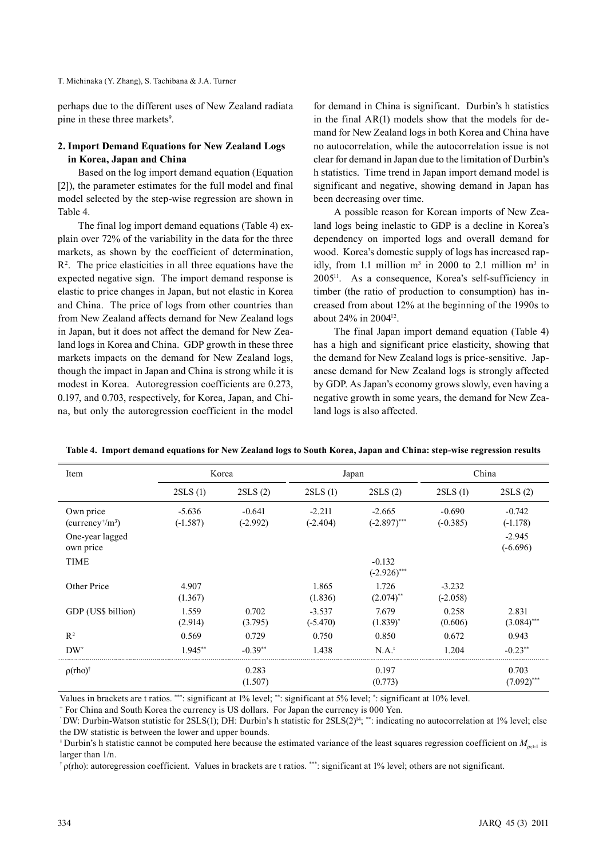perhaps due to the different uses of New Zealand radiata pine in these three markets<sup>9</sup>.

# **2. Import Demand Equations for New Zealand Logs in Korea, Japan and China**

Based on the log import demand equation (Equation [2]), the parameter estimates for the full model and final model selected by the step-wise regression are shown in Table 4.

The final log import demand equations (Table 4) explain over 72% of the variability in the data for the three markets, as shown by the coefficient of determination, R2 . The price elasticities in all three equations have the expected negative sign. The import demand response is elastic to price changes in Japan, but not elastic in Korea and China. The price of logs from other countries than from New Zealand affects demand for New Zealand logs in Japan, but it does not affect the demand for New Zealand logs in Korea and China. GDP growth in these three markets impacts on the demand for New Zealand logs, though the impact in Japan and China is strong while it is modest in Korea. Autoregression coefficients are 0.273, 0.197, and 0.703, respectively, for Korea, Japan, and China, but only the autoregression coefficient in the model

for demand in China is significant. Durbin's h statistics in the final AR(1) models show that the models for demand for New Zealand logs in both Korea and China have no autocorrelation, while the autocorrelation issue is not clear for demand in Japan due to the limitation of Durbin's h statistics. Time trend in Japan import demand model is significant and negative, showing demand in Japan has been decreasing over time.

A possible reason for Korean imports of New Zealand logs being inelastic to GDP is a decline in Korea's dependency on imported logs and overall demand for wood. Korea's domestic supply of logs has increased rapidly, from 1.1 million  $m^3$  in 2000 to 2.1 million  $m^3$  in 200511. As a consequence, Korea's self-sufficiency in timber (the ratio of production to consumption) has increased from about 12% at the beginning of the 1990s to about 24% in 200412.

The final Japan import demand equation (Table 4) has a high and significant price elasticity, showing that the demand for New Zealand logs is price-sensitive. Japanese demand for New Zealand logs is strongly affected by GDP. As Japan's economy grows slowly, even having a negative growth in some years, the demand for New Zealand logs is also affected.

| Item                          |                        | Korea                  | Japan                  |                            | China                  |                        |
|-------------------------------|------------------------|------------------------|------------------------|----------------------------|------------------------|------------------------|
|                               | 2SLS(1)                | 2SLS(2)                | 2SLS(1)                | 2SLS(2)                    | 2SLS(1)                | 2SLS(2)                |
| Own price<br>$(currency+/m3)$ | $-5.636$<br>$(-1.587)$ | $-0.641$<br>$(-2.992)$ | $-2.211$<br>$(-2.404)$ | $-2.665$<br>$(-2.897)$ *** | $-0.690$<br>$(-0.385)$ | $-0.742$<br>$(-1.178)$ |
| One-year lagged<br>own price  |                        |                        |                        |                            |                        | $-2.945$<br>$(-6.696)$ |
| <b>TIME</b>                   |                        |                        |                        | $-0.132$<br>$(-2.926)$ *** |                        |                        |
| Other Price                   | 4.907<br>(1.367)       |                        | 1.865<br>(1.836)       | 1.726<br>$(2.074)$ **      | $-3.232$<br>$(-2.058)$ |                        |
| GDP (US\$ billion)            | 1.559<br>(2.914)       | 0.702<br>(3.795)       | $-3.537$<br>$(-5.470)$ | 7.679<br>$(1.839)^*$       | 0.258<br>(0.606)       | 2.831<br>$(3.084)$ *** |
| $R^2$                         | 0.569                  | 0.729                  | 0.750                  | 0.850                      | 0.672                  | 0.943                  |
| $DW^{\circ}$                  | $1.945***$             | $-0.39**$              | 1.438                  | $N.A.^{\dagger}$           | 1.204                  | $-0.23**$              |
| $\rho$ (rho) <sup>†</sup>     |                        | 0.283<br>(1.507)       |                        | 0.197<br>(0.773)           |                        | 0.703<br>$(7.092)$ *** |

**Table 4. Import demand equations for New Zealand logs to South Korea, Japan and China: step-wise regression results**

Values in brackets are t ratios. \*\*\*: significant at 1% level; \*\*: significant at 5% level; \* : significant at 10% level.

+ For China and South Korea the currency is US dollars. For Japan the currency is 000 Yen.

† ρ(rho): autoregression coefficient. Values in brackets are t ratios. \*\*\*: significant at 1% level; others are not significant.

<sup>˚</sup> DW: Durbin-Watson statistic for 2SLS(1); DH: Durbin's h statistic for 2SLS(2)14; \*\*: indicating no autocorrelation at 1% level; else the DW statistic is between the lower and upper bounds.

<sup>&</sup>lt;sup> $\pm$ </sup> Durbin's h statistic cannot be computed here because the estimated variance of the least squares regression coefficient on  $M_{\text{int}}$  is larger than 1/n.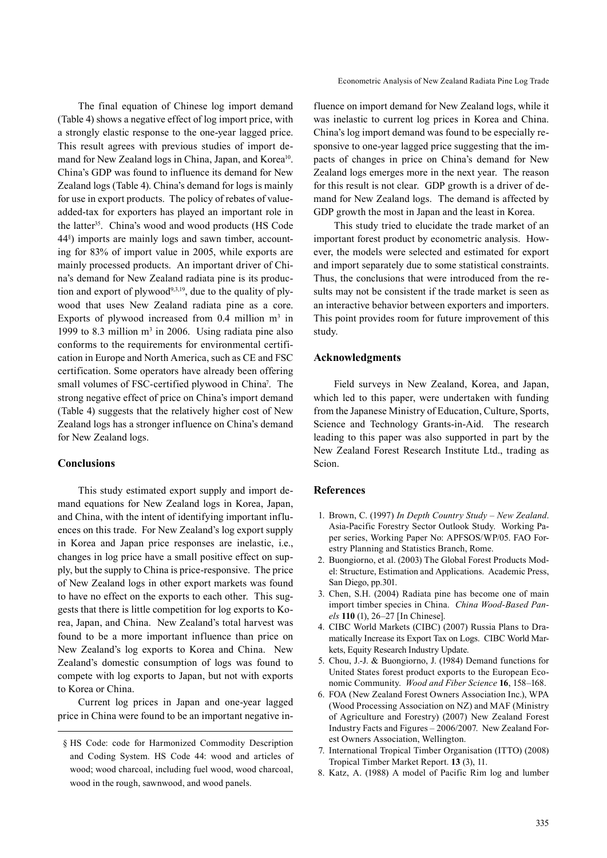The final equation of Chinese log import demand (Table 4) shows a negative effect of log import price, with a strongly elastic response to the one-year lagged price. This result agrees with previous studies of import demand for New Zealand logs in China, Japan, and Korea<sup>10</sup>. China's GDP was found to influence its demand for New Zealand logs (Table 4). China's demand for logs is mainly for use in export products. The policy of rebates of valueadded-tax for exporters has played an important role in the latter<sup>35</sup>. China's wood and wood products (HS Code 44§ ) imports are mainly logs and sawn timber, accounting for 83% of import value in 2005, while exports are mainly processed products. An important driver of China's demand for New Zealand radiata pine is its production and export of plywood<sup>9,3,19</sup>, due to the quality of plywood that uses New Zealand radiata pine as a core. Exports of plywood increased from  $0.4$  million  $m<sup>3</sup>$  in 1999 to 8.3 million  $m<sup>3</sup>$  in 2006. Using radiata pine also conforms to the requirements for environmental certification in Europe and North America, such as CE and FSC certification. Some operators have already been offering small volumes of FSC-certified plywood in China<sup>7</sup>. The strong negative effect of price on China's import demand (Table 4) suggests that the relatively higher cost of New Zealand logs has a stronger influence on China's demand for New Zealand logs.

# **Conclusions**

This study estimated export supply and import demand equations for New Zealand logs in Korea, Japan, and China, with the intent of identifying important influences on this trade. For New Zealand's log export supply in Korea and Japan price responses are inelastic, i.e., changes in log price have a small positive effect on supply, but the supply to China is price-responsive. The price of New Zealand logs in other export markets was found to have no effect on the exports to each other. This suggests that there is little competition for log exports to Korea, Japan, and China. New Zealand's total harvest was found to be a more important influence than price on New Zealand's log exports to Korea and China. New Zealand's domestic consumption of logs was found to compete with log exports to Japan, but not with exports to Korea or China.

Current log prices in Japan and one-year lagged price in China were found to be an important negative influence on import demand for New Zealand logs, while it was inelastic to current log prices in Korea and China. China's log import demand was found to be especially responsive to one-year lagged price suggesting that the impacts of changes in price on China's demand for New Zealand logs emerges more in the next year. The reason for this result is not clear. GDP growth is a driver of demand for New Zealand logs. The demand is affected by GDP growth the most in Japan and the least in Korea.

This study tried to elucidate the trade market of an important forest product by econometric analysis. However, the models were selected and estimated for export and import separately due to some statistical constraints. Thus, the conclusions that were introduced from the results may not be consistent if the trade market is seen as an interactive behavior between exporters and importers. This point provides room for future improvement of this study.

## **Acknowledgments**

Field surveys in New Zealand, Korea, and Japan, which led to this paper, were undertaken with funding from the Japanese Ministry of Education, Culture, Sports, Science and Technology Grants-in-Aid. The research leading to this paper was also supported in part by the New Zealand Forest Research Institute Ltd., trading as Scion.

# **References**

- 1. Brown, C. (1997) *In Depth Country Study New Zealand*. Asia-Pacific Forestry Sector Outlook Study. Working Paper series, Working Paper No: APFSOS/WP/05. FAO Forestry Planning and Statistics Branch, Rome.
- 2. Buongiorno, et al. (2003) The Global Forest Products Model: Structure, Estimation and Applications. Academic Press, San Diego, pp.301.
- 3. Chen, S.H. (2004) Radiata pine has become one of main import timber species in China. *China Wood-Based Panels* **110** (1), 26–27 [In Chinese].
- 4. CIBC World Markets (CIBC) (2007) Russia Plans to Dramatically Increase its Export Tax on Logs. CIBC World Markets, Equity Research Industry Update.
- 5. Chou, J.-J. & Buongiorno, J. (1984) Demand functions for United States forest product exports to the European Economic Community. *Wood and Fiber Science* **16**, 158–168.
- 6. FOA (New Zealand Forest Owners Association Inc.), WPA (Wood Processing Association on NZ) and MAF (Ministry of Agriculture and Forestry) (2007) New Zealand Forest Industry Facts and Figures – 2006/2007. New Zealand Forest Owners Association, Wellington.
- 7. International Tropical Timber Organisation (ITTO) (2008) Tropical Timber Market Report. **13** (3), 11.
- 8. Katz, A. (1988) A model of Pacific Rim log and lumber

<sup>§</sup> HS Code: code for Harmonized Commodity Description and Coding System. HS Code 44: wood and articles of wood; wood charcoal, including fuel wood, wood charcoal, wood in the rough, sawnwood, and wood panels.